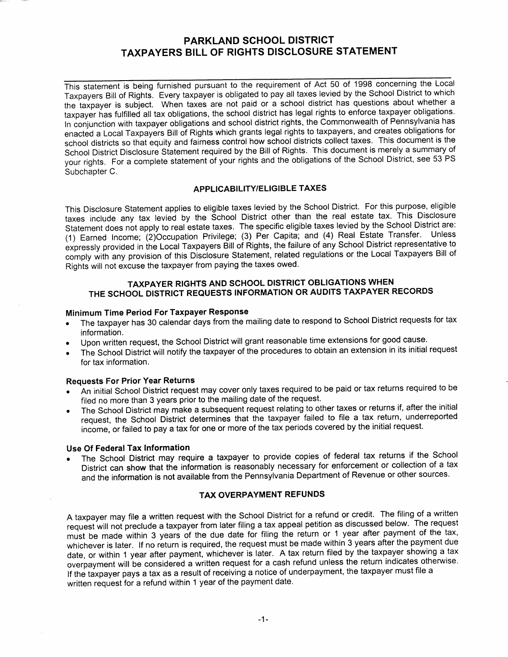# PARKLAND SCHOOL DISTRICT TAXPAYERS BILL OF RIGHTS DISCLOSURE STATEMENT

This statement is being furnished pursuant to the requirement of Act 50 of 1998 concerning the Local Taxpayers Bill of Rights. Every taxpayer is obligated to pay all taxes levied by the School District to which the taxpayer is subject. When taxes are not paid or a school district has questions about whether a taxpayer has fulfilled all tax obligations, the school district has legal rights to enforce taxpayer obligations. In conjunction with taxpayer obligations and school district rights, the Commonwealth of Pennsylvania has enacted a Local Taxpayers Bill of Rights which grants legal rights to taxpayers, and creates obligations for school districts so that equity and fairness control how school districts collect taxes. This document is the School District Disclosure Statement required by the Bill of Rights. This document is merely a summary of your rights. For a complete statement of your rights and the obligations of the School District, see 53 PS Subchapter C.

#### APPLICABILITY/ELIGIBLE TAXES

This Disclosure Statement applies to eligible taxes levied by the School District. For this purpose, eligible taxes include any tax levied by the School District other than the real estate tax. This Disclosure Statement does not apply to real estate taxes. The specific eligible taxes levied by the School District are: (1) Earned Income; Privilege; (3) Per Capita; and (4) Real Estate Transfer. Unless expressly provided ln ine Local Taxpayers Bill of Rights, the failure of any School District representative to comply with any provision of this Disclosure Statement, related regulations or the Local Taxpayers Bill of Rights will not excuse the taxpayer from paying the taxes owed.

## TAXPAYER RIGHTS AND SCHOOL DISTRICT OBLIGATIONS WHEN THE SCHOOL DISTRICT REQUESTS INFORMATION OR AUDITS TAXPAYER RECORDS

#### Minimum Time Period For Taxpayer Response

- The taxpayer has 30 calendar days from the mailing date to respond to School District requests for tax information.
- Upon written request, the School District will grant reasonable time extensions for good cause.
- . The School District will notify the taxpayer of the procedures to obtain an extension in its initial request for tax information.

## Requests For Prior Year Returns

- An initial School District request may cover only taxes required to be paid or tax returns required to be filed no more than 3 years prior to the mailing date of the request.
- The School District may make a subsequent request relating to other taxes or returns if, after the initial request, the School Djstrict determines that the taxpayer failed to file a tax return, underreported income, or failed to pay a tax for one or more of the tax periods covered by the initial request.

## Use Of Federal Tax lnformation

The School District may require a taxpayer to provide copies of federal tax returns if the School District can show that the iniormation is reasonably necessary for enforcement or collection of a tax and the information is not available from the Pennsylvania Department of Revenue or other sources.

## TAX OVERPAYMENT REFUNDS

A taxpayer may file a written request with the School District for a refund or credit. The filing of a written request will not preclude a taxpayer from later filing a tax appeal petition as discussed below. The request must be made within 3 years of the due date for filing the return or 1 year after payment of the tax, whichever is later. If no return is required, the request must be made within 3 years after the payment due date, or within 1 year after payment, whichever is later. A tax return filed by the taxpayer showing a tax overpayment will be considered a written request for a cash refund unless the return indicates otherwise. lf the taxpayer pays a tax as a result of receiving a notice of underpayment, the taxpayer must file a written request for a refund within 1 year of the payment date.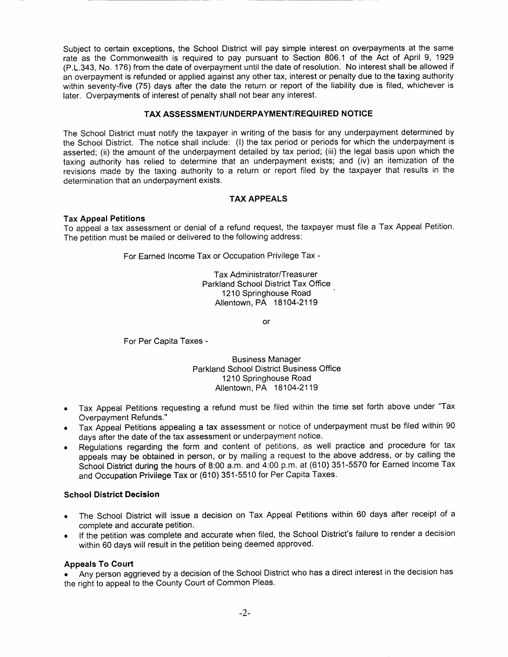Subject to certain exceptions, the School District will pay simple interest on overpayments at the same rate as the Commonwealth is required to pay pursuant to Section 806.1 of the Act of April 9, 1929 (P.L.343, No. 176) from the date of overpayment until the date of resolution. No interest shall be allowed if an overpayment is refunded or applied against any other tax, interest or penalty due to the taxing authority within seventy-five (75) days after the date the return or report of the liability due is filed, whichever is later. Overpayments of interest of penalty shall not bear any interest.

### TAX ASSESSMENT/UNDERPAYMENT/REQUIRED NOTICE

The School District must notify the taxpayer in writing of the basis for any underpayment determined by the School District. The notice shall include: (l) the tax period or periods for which the underpayment is asserted; (ii) the amount of the underpayment detailed by tax period; (iii) the legal basis upon which the taxing authority has relied to determine that an underpayment exists; and (iv) an itemization of the revisions made by the taxing authority to a return or report filed by the taxpayer that results in the determination that an underpayment exists.

## TAX APPEALS

## Tax Appeal Petitions

To appeal a tax assessment or denial of a refund request, the taxpayer must file a Tax Appeal Petition. The petition must be mailed or delivered to the following address:

For Earned Income Tax or Occupation Privilege Tax -

Tax Administrator/Treasurer Parkland School District Tax Office 1210 Springhouse Road Allentown, PA 18104-2119

or

For Per Capita Taxes -

Business Manager Parkland School District Business Office 1210 Springhouse Road Allentown, PA 18104-2119

- . Tax Appeal Petitions requesting a refund must be filed within the time set forth above under "Tax Overpayment Refunds."
- . Tax Appeal Petitions appealing a tax assessment or notice of underpayment must be filed within 90 days after the date of the tax assessment or underpayment notice.
- . Regulations regarding the form and content of petitions, as well practice and procedure for tax appeals may be obtained in person, or by mailing a request to the above address, or by calling the School District during the hours of 8:00 a.m. and 4:00 p.m. at (610) 351-5570 for Earned lncome Tax and Occupation Privilege Tax or (610) 351-5510 for Per Capita Taxes.

### School District Decision

- . The School District will issue a decision on Tax Appeal Petitions within 60 days after receipt of a complete and accurate petition.
- . lf the petition was complete and accurate when filed, the School District's failure to render a decision within 60 days will result in the petition being deemed approved.

#### Appeals To Court

Any person aggrieved by a decision of the School District who has a direct interest in the decision has the right to appeal to the County Court of Common Pleas.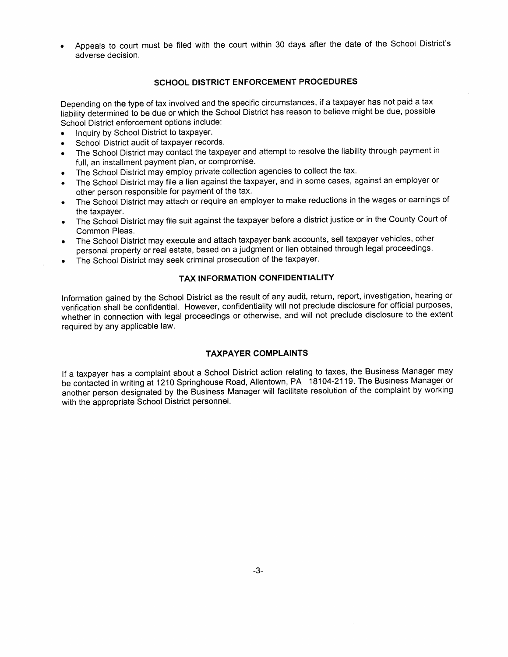. Appeals to court must be filed with the court within 30 days after the date of the School District's adverse decision.

### SCHOOL DISTRICT ENFORCEMENT PROCEDURES

Depending on the type of tax involved and the specific circumstances, if a taxpayer has not paid a tax liability deiermined to be due or which the School District has reason to believe might be due, possible School District enforcement options include:

- Inquiry by School District to taxpayer.
- . School District audit of taxpayer records.
- . The School District may contact the taxpayer and attempt to resolve the liability through payment in full, an installment payment plan, or compromise.
- . The School District may employ private collection agencies to collect the tax.
- The School District may file a lien against the taxpayer, and in some cases, against an employer or other person responsible for payment of the tax.
- . The School District may attach or require an employer to make reductions in the wages or earnings of the taxpayer.
- r The School District may file suit against the taxpayer before a district justice or in the County Court of Common Pleas.
- . The School District may execute and attach taxpayer bank accounts, sell taxpayer vehicles, other personal property or real estate, based on a judgment or lien obtained through legal proceedings.
- . The School District may seek criminal prosecution of the taxpayer.

## TAX INFORMATION CONFIDENTIALITY

Information gained by the School District as the result of any audit, return, report, investigation, hearing or verification shall be confidential. However, confidentiality will not preclude disclosure for official purposes, whether in connection with legal proceedings or otherwise, and will not preclude disclosure to the extent required by any applicable law.

#### TAXPAYER COMPLAINTS

lf a taxpayer has a complaint about a School District action relating to taxes, the Business Manager may be contacted in writing at 1210 Springhouse Road, Allentown, PA 18104-2119. The Business Manager or another person designated by the Business Manager will facilitate resolution of the complaint by working with the appropriate School District personnel.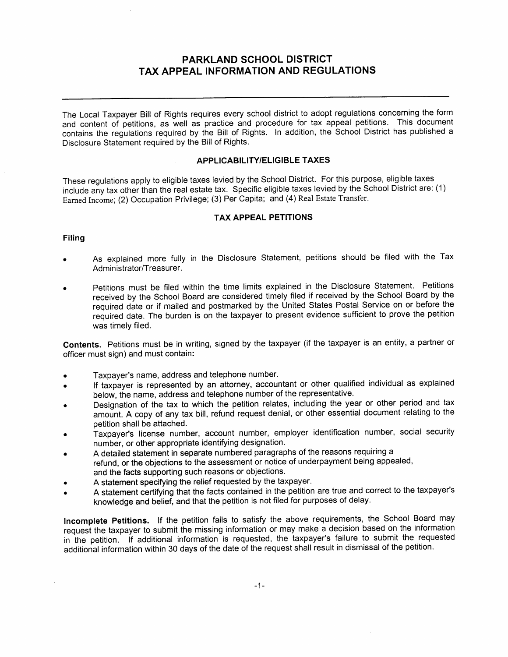## PARKLAND SCHOOL DISTRIGT TAX APPEAL INFORMATION AND REGULATIONS

The Local Taxpayer Bill of Rights requires every school district to adopt regulations concerning the form and content of petitions, as well as practice and procedure for tax appeal petitions. This document contains the regulations required by the Bill of Rights. In addition, the School District has published a Disclosure Statement required by the Bill of Rights.

#### APPLICABILITY/ELIGIBLE TAXES

These regulations apply to eligible taxes levied by the School District. For this purpose, eligible taxes include any tax other than the real estate tax. Specific eligible taxes levied by the School District are: (1) Earned Income; (2) Occupation Privilege; (3) Per Capita; and (4) Real Estate Transfer.

## TAX APPEAL PETITIONS

#### Filing

- As explained more fully in the Disclosure Statement, petitions should be filed with the Tax Administrator/Treasurer.
- Petitions must be filed within the time limits explained in the Disclosure Statement. Petitions received by the School Board are considered timely filed if received by the School Board by the required date or if mailed and postmarked by the United States Postal Service on or before the required date. The burden is on the taxpayer to present evidence sufficient to prove the petition was timely filed.

Contents. Petitions must be in writing, signed by the taxpayer (if the taxpayer is an entity, a partner or officer must sign) and must contain:

- o Taxpayer's name, address and telephone number.
- If taxpayer is represented by an attorney, accountant or other qualified individual as explained below, the name, address and telephone number of the representative.
- Designation of the tax to which the petition relates, including the year or other period and tax amount. A copy of any tax bill, refund request denial, or other essential document relating to the petition shall be attached.
- Taxpayer's license number, account number, employer identification number, social security number, or other appropriate identifying designation.
- A detailed statement in separate numbered paragraphs of the reasons requiring a refund, or the objections to the assessment or notice of underpayment being appealed, and the facts supporting such reasons or objections.
- A statement specifying the relief requested by the taxpayer.
- A statement certifying that the facts contained in the petition are true and correct to the taxpayer's knowledge and belief, and that the petition is not filed for purposes of delay.

Incomplete petitions. lf the petition fails to satisfy the above requirements, the School Board may requesi the taxpayer to submit the missing information or may make a decision based on the information in the petition. If additional information is requested, the taxpayer's failure to submit the requested additional information within 30 days of the date of the request shall result in dismissal of the petition.